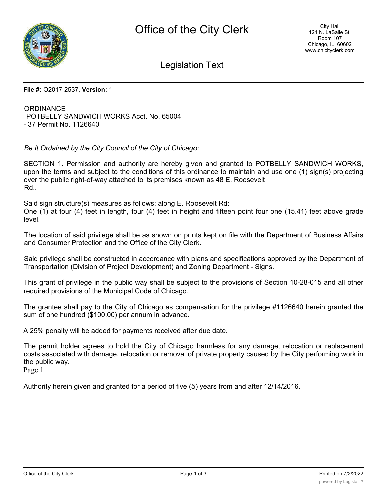

Legislation Text

**File #:** O2017-2537, **Version:** 1

# **ORDINANCE** POTBELLY SANDWICH WORKS Acct. No. 65004 - 37 Permit No. 1126640

*Be It Ordained by the City Council of the City of Chicago:*

SECTION 1. Permission and authority are hereby given and granted to POTBELLY SANDWICH WORKS, upon the terms and subject to the conditions of this ordinance to maintain and use one (1) sign(s) projecting over the public right-of-way attached to its premises known as 48 E. Roosevelt Rd..

Said sign structure(s) measures as follows; along E. Roosevelt Rd: One (1) at four (4) feet in length, four (4) feet in height and fifteen point four one (15.41) feet above grade level.

The location of said privilege shall be as shown on prints kept on file with the Department of Business Affairs and Consumer Protection and the Office of the City Clerk.

Said privilege shall be constructed in accordance with plans and specifications approved by the Department of Transportation (Division of Project Development) and Zoning Department - Signs.

This grant of privilege in the public way shall be subject to the provisions of Section 10-28-015 and all other required provisions of the Municipal Code of Chicago.

The grantee shall pay to the City of Chicago as compensation for the privilege #1126640 herein granted the sum of one hundred (\$100.00) per annum in advance.

A 25% penalty will be added for payments received after due date.

The permit holder agrees to hold the City of Chicago harmless for any damage, relocation or replacement costs associated with damage, relocation or removal of private property caused by the City performing work in the public way.

Page 1

Authority herein given and granted for a period of five (5) years from and after 12/14/2016.

 $\overline{\phantom{a}}$  of  $\overline{\phantom{a}}$  of  $\overline{\phantom{a}}$  of  $\overline{\phantom{a}}$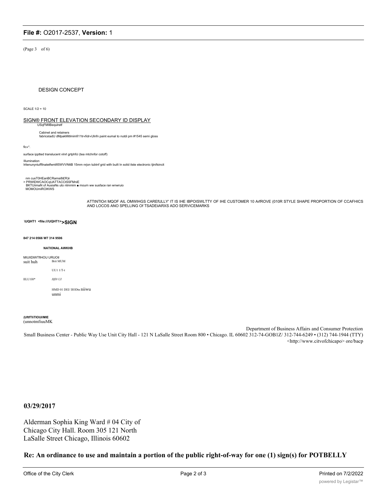## File #: O2017-2537, Version: 1

(Page 3 of 6)

**DESIGN CONCEPT** 

SCALE  $1/2 = 10$ 

### SIGN® FRONT ELEVATION SECONDARY ID DISPLAY

USqFMIIBequiret Cabinet and retainers

fabricstadU dMpakMitlmimfi11tr«fidr«Ulnfn paint eumal to nutdi pm #1545 semi gloss

fic«\*

surface ipptted translucent vlnrl grtphfci (tea mtchnfor cotoff)

lllumination<br>Iritenunyniuffilnatetfwntifi5WVVNttB 15mm nrjon tubtnf grid with built In solid itste electronic tjinifsincit

nm cusT0HEanBCRamsi8i£R)ii<br>› PRWIDWCAOCqUATTACCtSSFMniE<br>BKTUiimaN of AusiaNs uto ntmmim ■ mourn ww susface ran wnwruio<br>MOMOUmiROIKWS

ATTINTION MOOF AIL OMWIHGS CARENULLY IT IS IHE IBPOISWLTTY OF IHE CUSTOMER 10 ANROVE (010R STYLE SHAPE PROPORTION OF CCAFHICS AND LOCOS ANO SPELLING Of TSADEiIARXS ADO SERVICEMARKS

### \UQHT1 <file:///UQHT1>>SIGN

#### 847 214 0566 W7 314 9506

#### **NATIONAL AWKHB**

| MIUIID#WTfIHOU URUO#I<br>suit huh | <b>Brit MUM</b>                 |
|-----------------------------------|---------------------------------|
|                                   | $UU111/T-t$                     |
| IILU110*                          | Hfl# UI                         |
|                                   | HMD 01 DEI/IIODtn 111WU<br>unmı |

#### (UftfTIiTIOUI/MIE (unnotmfiuuMK

Department of Business Affairs and Consumer Protection Small Business Center - Public Way Use Unit City Hall - 121 N LaSalle Street Room 800 · Chicago. IL 60602 312-74-GOB1Z/312-744-6249 · (312) 744-1944 (TTY) <http://www.citvofchicapo> ore/bacp

### 03/29/2017

Alderman Sophia King Ward # 04 City of Chicago City Hall. Room 305 121 North LaSalle Street Chicago, Illinois 60602

Re: An ordinance to use and maintain a portion of the public right-of-way for one (1) sign(s) for POTBELLY